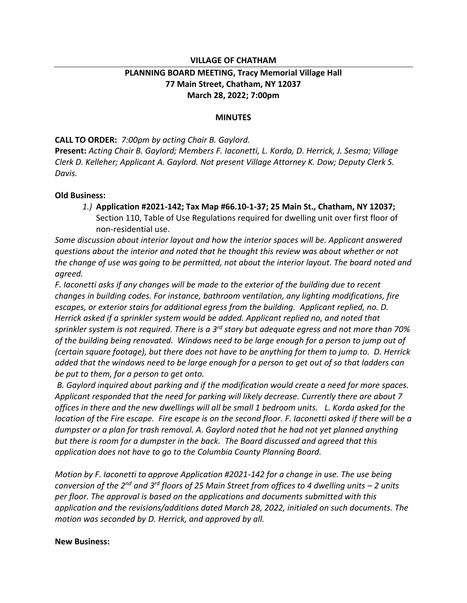### **VILLAGE OF CHATHAM**

## **PLANNING BOARD MEETING, Tracy Memorial Village Hall 77 Main Street, Chatham, NY 12037 March 28, 2022; 7:00pm**

#### **MINUTES**

**CALL TO ORDER:** *7:00pm by acting Chair B. Gaylord.* 

**Present:** *Acting Chair B. Gaylord; Members F. Iaconetti, L. Korda, D. Herrick, J. Sesma; Village Clerk D. Kelleher; Applicant A. Gaylord. Not present Village Attorney K. Dow; Deputy Clerk S. Davis.* 

#### **Old Business:**

*1.)* **Application #2021-142; Tax Map #66.10-1-37; 25 Main St., Chatham, NY 12037;** Section 110, Table of Use Regulations required for dwelling unit over first floor of non-residential use.

*Some discussion about interior layout and how the interior spaces will be. Applicant answered questions about the interior and noted that he thought this review was about whether or not the change of use was going to be permitted, not about the interior layout. The board noted and agreed.* 

*F. Iaconetti asks if any changes will be made to the exterior of the building due to recent changes in building codes. For instance, bathroom ventilation, any lighting modifications, fire escapes, or exterior stairs for additional egress from the building. Applicant replied, no. D. Herrick asked if a sprinkler system would be added. Applicant replied no, and noted that sprinkler system is not required. There is a 3rd story but adequate egress and not more than 70% of the building being renovated. Windows need to be large enough for a person to jump out of (certain square footage), but there does not have to be anything for them to jump to. D. Herrick added that the windows need to be large enough for a person to get out of so that ladders can be put to them, for a person to get onto.* 

*B. Gaylord inquired about parking and if the modification would create a need for more spaces. Applicant responded that the need for parking will likely decrease. Currently there are about 7 offices in there and the new dwellings will all be small 1 bedroom units. L. Korda asked for the location of the Fire escape. Fire escape is on the second floor. F. Iaconetti asked if there will be a dumpster or a plan for trash removal. A. Gaylord noted that he had not yet planned anything but there is room for a dumpster in the back. The Board discussed and agreed that this application does not have to go to the Columbia County Planning Board.* 

*Motion by F. Iaconetti to approve Application #2021-142 for a change in use. The use being conversion of the 2nd and 3rd floors of 25 Main Street from offices to 4 dwelling units – 2 units per floor. The approval is based on the applications and documents submitted with this application and the revisions/additions dated March 28, 2022, initialed on such documents. The motion was seconded by D. Herrick, and approved by all.*

#### **New Business:**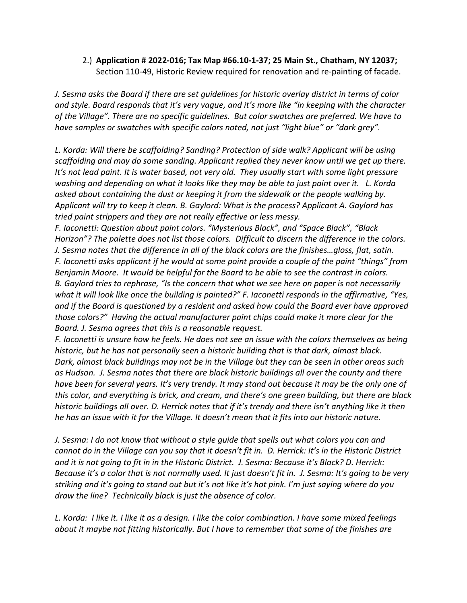# 2.) **Application # 2022-016; Tax Map #66.10-1-37; 25 Main St., Chatham, NY 12037;** Section 110-49, Historic Review required for renovation and re-painting of facade.

*J. Sesma asks the Board if there are set guidelines for historic overlay district in terms of color and style. Board responds that it's very vague, and it's more like "in keeping with the character of the Village". There are no specific guidelines. But color swatches are preferred. We have to have samples or swatches with specific colors noted, not just "light blue" or "dark grey".* 

*L. Korda: Will there be scaffolding? Sanding? Protection of side walk? Applicant will be using scaffolding and may do some sanding. Applicant replied they never know until we get up there. It's not lead paint. It is water based, not very old. They usually start with some light pressure washing and depending on what it looks like they may be able to just paint over it. L. Korda asked about containing the dust or keeping it from the sidewalk or the people walking by. Applicant will try to keep it clean. B. Gaylord: What is the process? Applicant A. Gaylord has tried paint strippers and they are not really effective or less messy.* 

*F. Iaconetti: Question about paint colors. "Mysterious Black", and "Space Black", "Black Horizon"? The palette does not list those colors. Difficult to discern the difference in the colors. J. Sesma notes that the difference in all of the black colors are the finishes…gloss, flat, satin. F. Iaconetti asks applicant if he would at some point provide a couple of the paint "things" from Benjamin Moore. It would be helpful for the Board to be able to see the contrast in colors. B. Gaylord tries to rephrase, "Is the concern that what we see here on paper is not necessarily what it will look like once the building is painted?" F. Iaconetti responds in the affirmative, "Yes, and if the Board is questioned by a resident and asked how could the Board ever have approved those colors?" Having the actual manufacturer paint chips could make it more clear for the Board. J. Sesma agrees that this is a reasonable request.* 

*F. Iaconetti is unsure how he feels. He does not see an issue with the colors themselves as being historic, but he has not personally seen a historic building that is that dark, almost black. Dark, almost black buildings may not be in the Village but they can be seen in other areas such as Hudson. J. Sesma notes that there are black historic buildings all over the county and there have been for several years. It's very trendy. It may stand out because it may be the only one of this color, and everything is brick, and cream, and there's one green building, but there are black historic buildings all over. D. Herrick notes that if it's trendy and there isn't anything like it then he has an issue with it for the Village. It doesn't mean that it fits into our historic nature.* 

*J. Sesma: I do not know that without a style guide that spells out what colors you can and cannot do in the Village can you say that it doesn't fit in. D. Herrick: It's in the Historic District and it is not going to fit in in the Historic District. J. Sesma: Because it's Black? D. Herrick: Because it's a color that is not normally used. It just doesn't fit in. J. Sesma: It's going to be very striking and it's going to stand out but it's not like it's hot pink. I'm just saying where do you draw the line? Technically black is just the absence of color.* 

*L. Korda: I like it. I like it as a design. I like the color combination. I have some mixed feelings about it maybe not fitting historically. But I have to remember that some of the finishes are*